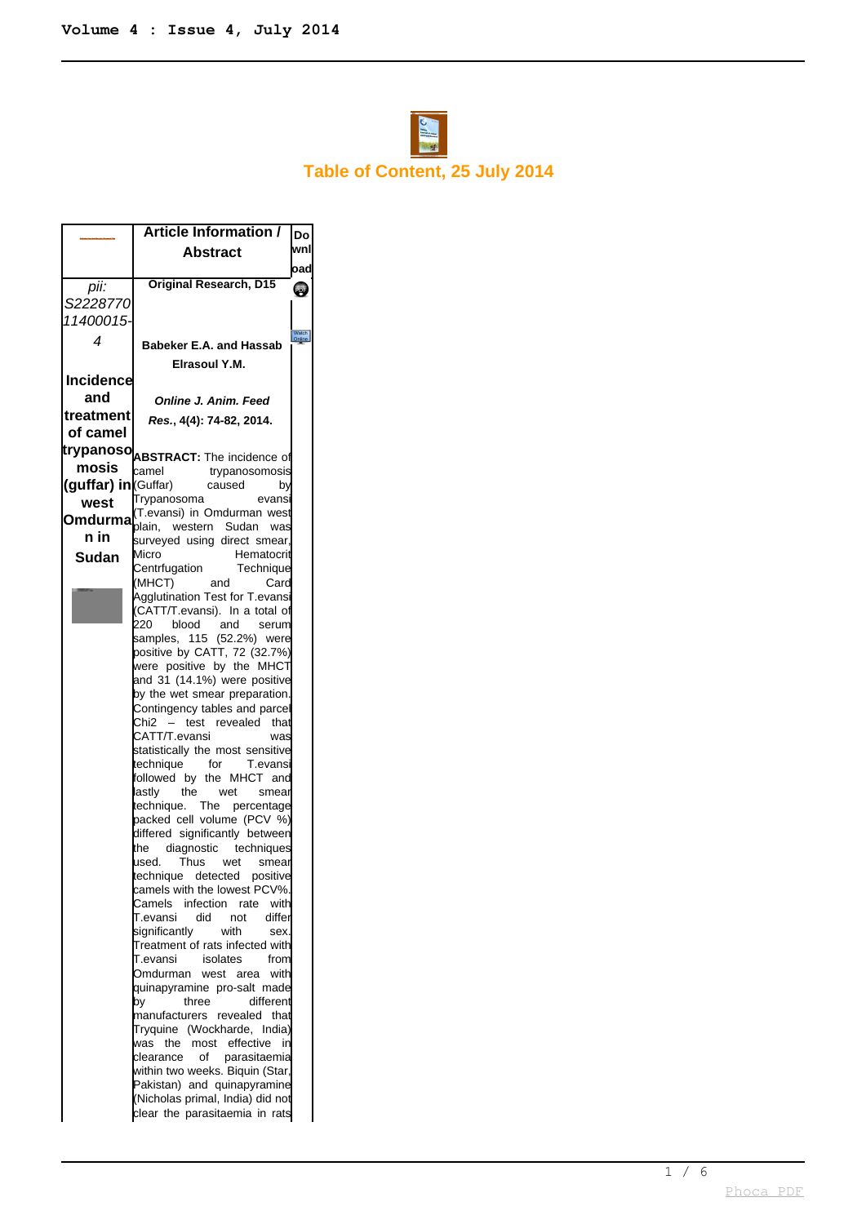

## **Table of Content, 25 July 2014**

|                     | <b>Article Information /</b>                                            | Do              |
|---------------------|-------------------------------------------------------------------------|-----------------|
|                     | Abstract                                                                | wnl             |
|                     |                                                                         | oad             |
| pii:                | <b>Original Research, D15</b>                                           | PDF             |
| S2228770            |                                                                         |                 |
| 11400015-           |                                                                         |                 |
| 4                   | <b>Babeker E.A. and Hassab</b>                                          | Watch<br>Online |
|                     | Elrasoul Y.M.                                                           |                 |
| <b>Incidence</b>    |                                                                         |                 |
| and                 | Online J. Anim. Feed                                                    |                 |
| treatment           | Res., 4(4): 74-82, 2014.                                                |                 |
| of camel            |                                                                         |                 |
|                     | <b>trypanoso</b> ABSTRACT: The incidence of                             |                 |
| mosis               | camel<br>trypanosomosis                                                 |                 |
| (guffar) in Guffar) | caused<br>by                                                            |                 |
| west                | Trypanosoma<br>evans                                                    |                 |
| Omdurma             | (T.evansi) in Omdurman west<br>blain, western Sudan<br>was              |                 |
| n in                | surveyed using direct smear.                                            |                 |
| Sudan               | Micro<br>Hematocrit                                                     |                 |
|                     | Centrfugation<br>Technique<br>(MHCT)<br>Card<br>and                     |                 |
|                     | Agglutination Test for T.evansi                                         |                 |
|                     | (CATT/T.evansi). In a total of                                          |                 |
|                     | 220<br>and<br>blood<br>serum                                            |                 |
|                     | samples, 115 (52.2%) were<br>positive by CATT, 72 (32.7%)               |                 |
|                     | were positive by the MHCT $\,$                                          |                 |
|                     | and 31 (14.1%) were positive                                            |                 |
|                     | by the wet smear preparation.                                           |                 |
|                     | Contingency tables and parcel<br>test revealed<br>Chi2<br>that          |                 |
|                     | CATT/T.evansi<br>was                                                    |                 |
|                     | statistically the most sensitive                                        |                 |
|                     | technique for<br>T.evansi<br>followed by the MHCT and                   |                 |
|                     | lastly<br>the<br>wet<br>smear                                           |                 |
|                     | technique.<br>The<br>percentage                                         |                 |
|                     | packed cell volume (PCV %)                                              |                 |
|                     | differed significantly between<br>diagnostic techniques<br>the          |                 |
|                     | used.<br>Thus<br>wet<br>smear                                           |                 |
|                     | technique detected<br>positive                                          |                 |
|                     | camels with the lowest PCV%.                                            |                 |
|                     | Camels<br>infection<br>with<br>rate<br>T.evansi<br>did<br>differ<br>not |                 |
|                     | significantly<br>with<br>sex.                                           |                 |
|                     | Treatment of rats infected with                                         |                 |
|                     | T.evansi<br>isolates<br>from                                            |                 |
|                     | Omdurman<br>west area<br>with<br>quinapyramine pro-salt made            |                 |
|                     | different<br>three<br>by                                                |                 |
|                     | manufacturers revealed<br>that                                          |                 |
|                     | Tryquine (Wockharde,<br>India)                                          |                 |
|                     | the<br>most effective<br>was<br>in<br>of<br>parasitaemia<br>clearance   |                 |
|                     | within two weeks. Biquin (Star,                                         |                 |
|                     | Pakistan) and quinapyramine                                             |                 |
|                     | (Nicholas primal, India) did not                                        |                 |
|                     | clear the parasitaemia in rats                                          |                 |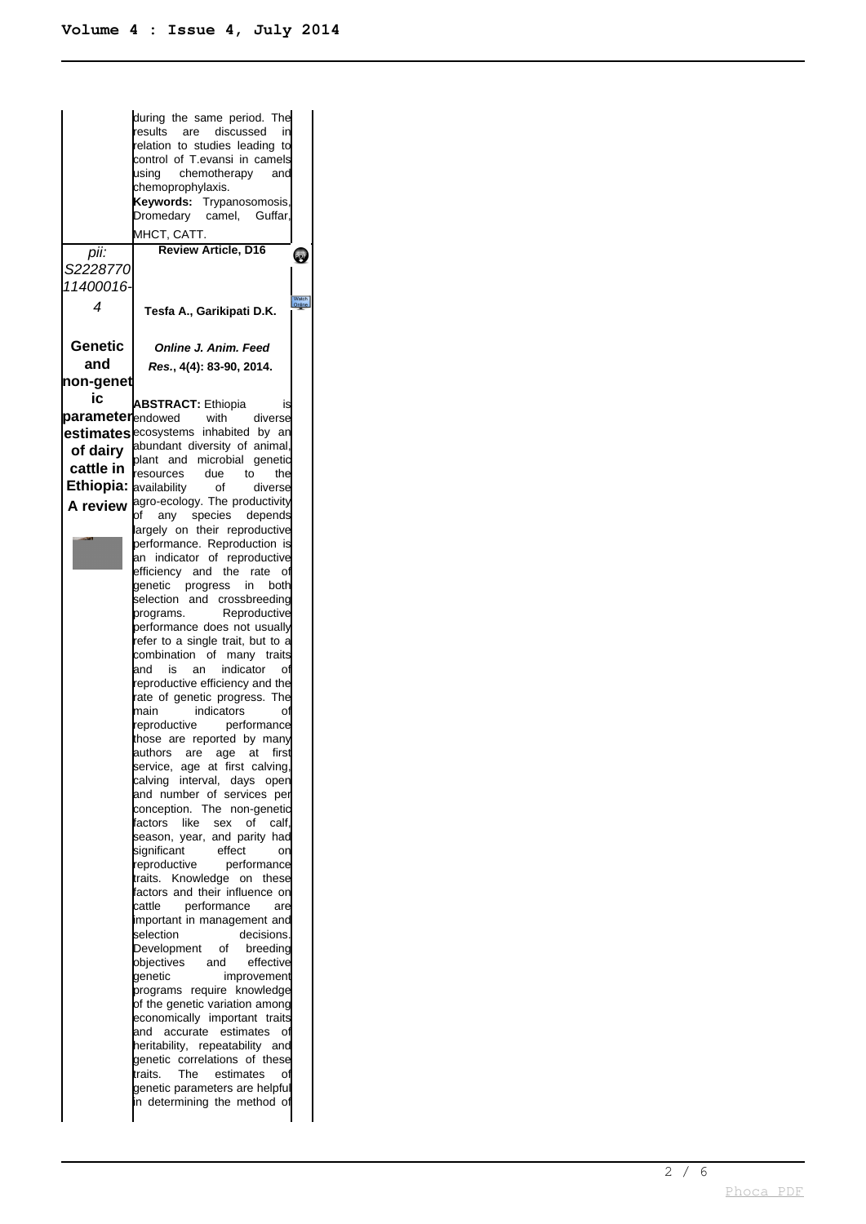during the same period. The results are discussed in relation to studies leading to control of T.evansi in camels using chemotherapy and chemoprophylaxis. **Keywords:** Trypanosomosis, Dromedary camel, Guffar, MHCT, CATT. **Review Article, D16** pii: **PD** S2228770 11400016- 4 **Tesfa A., Garikipati D.K. Genetic Online J. Anim. Feed and Res. , 4(4): 83-90, 2014. non-genet ic parameter ABSTRACT:** Ethiopia is<br> **parameter** endowed with diverse endowed with diverse **estimates** ecosystems inhabited by an abundant diversity of animal, **of dairy** plant and microbial genetic **cattle in** resources due to the **Ethiopia:** availability of diverse **A review** agro-ecology. The productivity of any species depends argely on their reproductive performance. Reproduction is an indicator of reproductive efficiency and the rate of genetic progress in both selection and crossbreeding<br>programs. Reproductive Reproductive performance does not usually refer to a single trait, but to a combination of many traits and is an indicator of reproductive efficiency and the rate of genetic progress. The<br>main indicators of main indicators of<br>reproductive performance performance those are reported by many authors are age at first service, age at first calving, calving interval, days open and number of services per conception. The non-genetic factors like sex of calf, season, year, and parity had<br>significant effect on significant effect or<br>reproductive performance performance traits. Knowledge on these factors and their influence on **cattle** performance are important in management and<br>selection decisions. selection Development of breeding objectives and effective<br>genetic improvement improvement programs require knowledge of the genetic variation among economically important traits and accurate estimates of heritability, repeatability and genetic correlations of these traits. The estimates of genetic parameters are helpful in determining the method of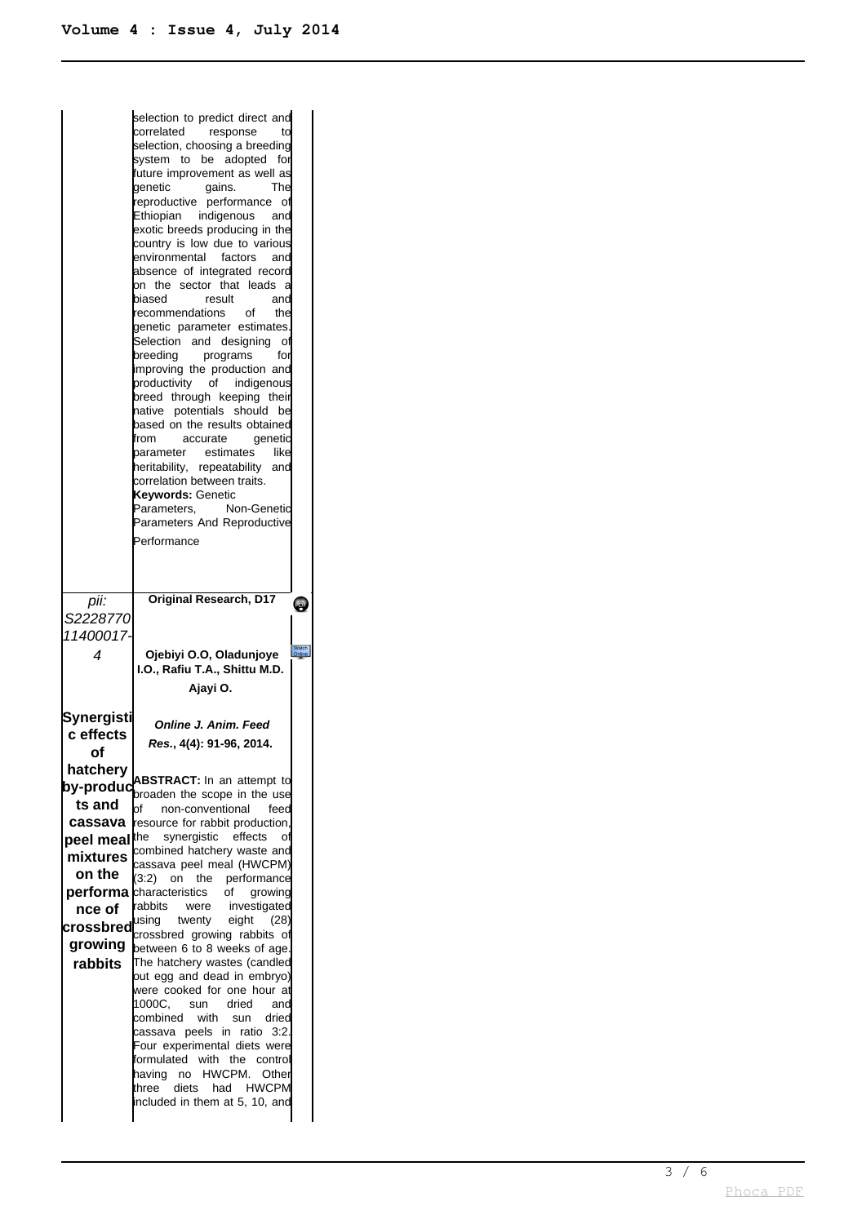|                               | selection to predict direct and<br>correlated<br>response<br>to<br>selection, choosing a breeding<br>system to be adopted<br>for<br>future improvement as well as<br>laenetic<br>gains.<br>The<br>reproductive performance of<br>Ethiopian<br>indigenous<br>and<br>exotic breeds producing in the<br>country is low due to various<br>environmental<br>factors<br>and<br>absence of integrated record<br>on the sector that leads<br>a<br>biased<br>result<br>and<br>recommendations<br>οf<br>the<br>genetic parameter estimates.<br>Selection and designing<br>οf<br>breeding<br>programs<br>for<br>improving the production and<br>productivity of<br>indigenous<br>breed through keeping their<br>hative potentials should<br>be<br>based on the results obtained<br>from<br>accurate<br>genetic<br>estimates<br>like<br>parameter<br>heritability, repeatability<br>and<br>correlation between traits.<br>Keywords: Genetic<br>Non-Genetic<br>Parameters.<br>Parameters And Reproductive<br>Performance |                 |
|-------------------------------|-------------------------------------------------------------------------------------------------------------------------------------------------------------------------------------------------------------------------------------------------------------------------------------------------------------------------------------------------------------------------------------------------------------------------------------------------------------------------------------------------------------------------------------------------------------------------------------------------------------------------------------------------------------------------------------------------------------------------------------------------------------------------------------------------------------------------------------------------------------------------------------------------------------------------------------------------------------------------------------------------------------|-----------------|
| pii:                          | <b>Original Research, D17</b>                                                                                                                                                                                                                                                                                                                                                                                                                                                                                                                                                                                                                                                                                                                                                                                                                                                                                                                                                                               | <b>e</b>        |
| S2228770<br>11400017-         |                                                                                                                                                                                                                                                                                                                                                                                                                                                                                                                                                                                                                                                                                                                                                                                                                                                                                                                                                                                                             |                 |
| 4                             |                                                                                                                                                                                                                                                                                                                                                                                                                                                                                                                                                                                                                                                                                                                                                                                                                                                                                                                                                                                                             |                 |
|                               | Ojebiyi O.O, Oladunjoye<br>I.O., Rafiu T.A., Shittu M.D.<br>Ajayi O.                                                                                                                                                                                                                                                                                                                                                                                                                                                                                                                                                                                                                                                                                                                                                                                                                                                                                                                                        | Watch<br>Online |
| Synergisti<br>c effects<br>of | <b>Online J. Anim. Feed</b><br>Res., 4(4): 91-96, 2014.                                                                                                                                                                                                                                                                                                                                                                                                                                                                                                                                                                                                                                                                                                                                                                                                                                                                                                                                                     |                 |
| hatchery                      | <b>ABSTRACT:</b> In an attempt to                                                                                                                                                                                                                                                                                                                                                                                                                                                                                                                                                                                                                                                                                                                                                                                                                                                                                                                                                                           |                 |
| bv-produc<br>ts and           | broaden the scope in the use                                                                                                                                                                                                                                                                                                                                                                                                                                                                                                                                                                                                                                                                                                                                                                                                                                                                                                                                                                                |                 |
| cassava                       | bf<br>non-conventional<br>feed<br>resource for rabbit production.                                                                                                                                                                                                                                                                                                                                                                                                                                                                                                                                                                                                                                                                                                                                                                                                                                                                                                                                           |                 |
| peel meal∣                    | synergistic effects<br>the<br>οf                                                                                                                                                                                                                                                                                                                                                                                                                                                                                                                                                                                                                                                                                                                                                                                                                                                                                                                                                                            |                 |
| mixtures                      | combined hatchery waste and                                                                                                                                                                                                                                                                                                                                                                                                                                                                                                                                                                                                                                                                                                                                                                                                                                                                                                                                                                                 |                 |
| on the                        | cassava peel meal (HWCPM)<br>on<br>the<br>performance<br>(3:2)                                                                                                                                                                                                                                                                                                                                                                                                                                                                                                                                                                                                                                                                                                                                                                                                                                                                                                                                              |                 |
| performa                      | characteristics<br>οf<br>growing                                                                                                                                                                                                                                                                                                                                                                                                                                                                                                                                                                                                                                                                                                                                                                                                                                                                                                                                                                            |                 |
| nce of                        | rabbits<br>investigated<br>were                                                                                                                                                                                                                                                                                                                                                                                                                                                                                                                                                                                                                                                                                                                                                                                                                                                                                                                                                                             |                 |
| <b>crossbred</b>              | using<br>twenty<br>eight<br>(28)<br>crossbred growing rabbits of                                                                                                                                                                                                                                                                                                                                                                                                                                                                                                                                                                                                                                                                                                                                                                                                                                                                                                                                            |                 |
| qrowing                       | between 6 to 8 weeks of age.                                                                                                                                                                                                                                                                                                                                                                                                                                                                                                                                                                                                                                                                                                                                                                                                                                                                                                                                                                                |                 |
| rabbits                       | The hatchery wastes (candled<br>out egg and dead in embryo)<br>were cooked for one hour at<br>1000C.<br>dried<br>sun<br>anc<br>combined<br>with<br>driec<br>sun<br>peels in<br>ratio<br>cassava<br>3.2<br>Four experimental diets were<br>formulated with<br>the<br>contro<br>HWCPM.<br>having<br>no<br>Other<br>three<br>diets<br>had<br>HWCPM<br>included in them at 5, 10, and                                                                                                                                                                                                                                                                                                                                                                                                                                                                                                                                                                                                                           |                 |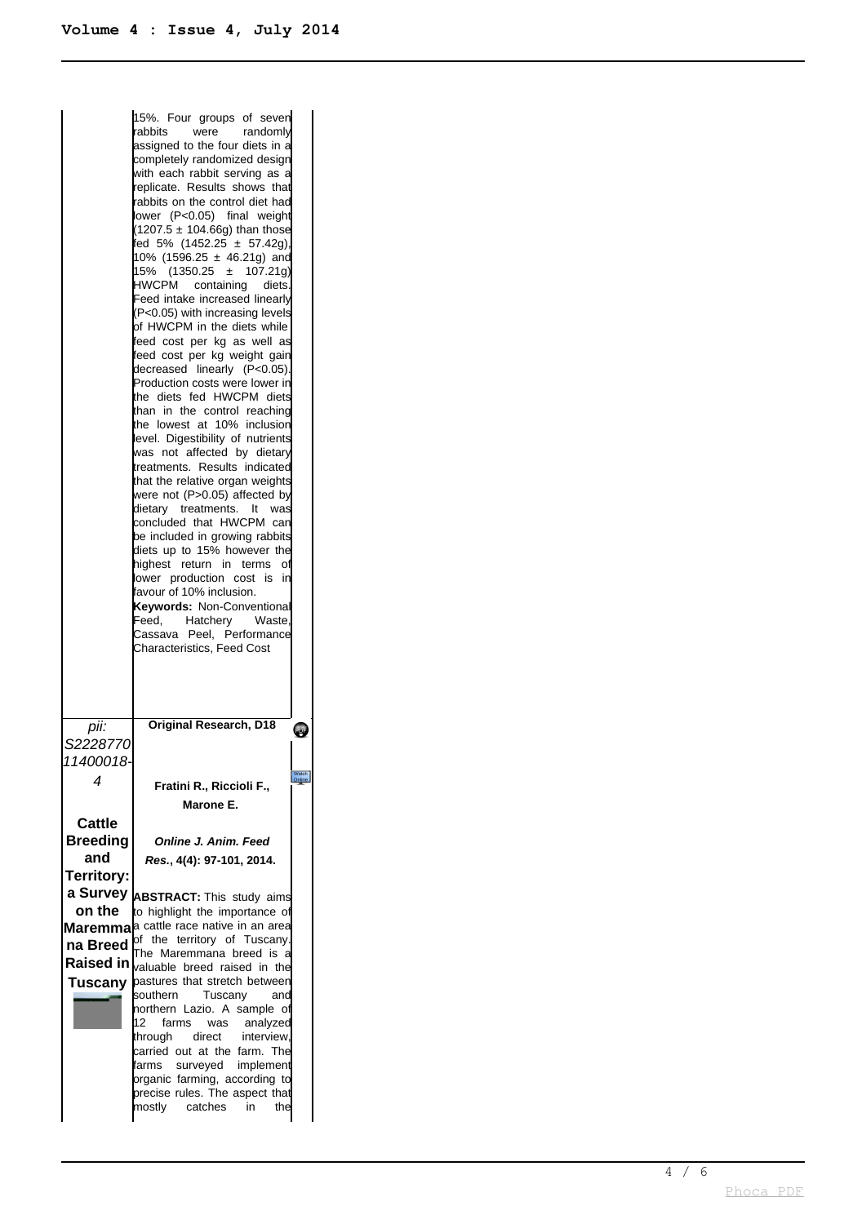|               | 15%. Four groups of seven<br>rabbits<br>randomly<br>were<br>assigned to the four diets in a<br>completely randomized design<br>with each rabbit serving as a<br>replicate. Results shows that<br>rabbits on the control diet had<br>lower (P<0.05) final weight<br>$(1207.5 \pm 104.66g)$ than those<br>fed 5% (1452.25 $\pm$ 57.42g),<br>10% (1596.25 $\pm$ 46.21g) and<br>15% (1350.25 ± 107.21g)<br>HWCPM<br>containing<br>diets.<br>Feed intake increased linearly<br>(P<0.05) with increasing levels<br>of HWCPM in the diets while<br>feed cost per kg as well as<br>feed cost per kg weight gain<br>decreased linearly (P<0.05).<br>Production costs were lower in<br>the diets fed HWCPM diets<br>than in the control reaching<br>the lowest at 10% inclusion<br>level. Digestibility of nutrients<br>was not affected by dietary<br>treatments. Results indicated<br>that the relative organ weights<br>were not (P>0.05) affected by<br>dietary<br>treatments.<br>was<br>It<br>concluded that HWCPM can<br>be included in growing rabbits<br>diets up to 15% however the<br>highest<br>return in terms<br>οf<br>lower production cost is in<br>favour of 10% inclusion.<br>Keywords: Non-Conventional<br>Feed.<br>Hatchery<br>Waste.<br>Cassava<br>Peel, Performance<br>Characteristics, Feed Cost |                 |
|---------------|--------------------------------------------------------------------------------------------------------------------------------------------------------------------------------------------------------------------------------------------------------------------------------------------------------------------------------------------------------------------------------------------------------------------------------------------------------------------------------------------------------------------------------------------------------------------------------------------------------------------------------------------------------------------------------------------------------------------------------------------------------------------------------------------------------------------------------------------------------------------------------------------------------------------------------------------------------------------------------------------------------------------------------------------------------------------------------------------------------------------------------------------------------------------------------------------------------------------------------------------------------------------------------------------------------------|-----------------|
|               |                                                                                                                                                                                                                                                                                                                                                                                                                                                                                                                                                                                                                                                                                                                                                                                                                                                                                                                                                                                                                                                                                                                                                                                                                                                                                                              |                 |
| pii:          | <b>Original Research, D18</b>                                                                                                                                                                                                                                                                                                                                                                                                                                                                                                                                                                                                                                                                                                                                                                                                                                                                                                                                                                                                                                                                                                                                                                                                                                                                                | $\bullet$       |
| S2228770      |                                                                                                                                                                                                                                                                                                                                                                                                                                                                                                                                                                                                                                                                                                                                                                                                                                                                                                                                                                                                                                                                                                                                                                                                                                                                                                              |                 |
| 11400018-     |                                                                                                                                                                                                                                                                                                                                                                                                                                                                                                                                                                                                                                                                                                                                                                                                                                                                                                                                                                                                                                                                                                                                                                                                                                                                                                              | Watch<br>Online |
| 4             | Fratini R., Riccioli F.,                                                                                                                                                                                                                                                                                                                                                                                                                                                                                                                                                                                                                                                                                                                                                                                                                                                                                                                                                                                                                                                                                                                                                                                                                                                                                     |                 |
|               | Marone E.                                                                                                                                                                                                                                                                                                                                                                                                                                                                                                                                                                                                                                                                                                                                                                                                                                                                                                                                                                                                                                                                                                                                                                                                                                                                                                    |                 |
| <b>Cattle</b> |                                                                                                                                                                                                                                                                                                                                                                                                                                                                                                                                                                                                                                                                                                                                                                                                                                                                                                                                                                                                                                                                                                                                                                                                                                                                                                              |                 |
| Breeding      | Online J. Anim. Feed                                                                                                                                                                                                                                                                                                                                                                                                                                                                                                                                                                                                                                                                                                                                                                                                                                                                                                                                                                                                                                                                                                                                                                                                                                                                                         |                 |
| and           | Res., 4(4): 97-101, 2014.                                                                                                                                                                                                                                                                                                                                                                                                                                                                                                                                                                                                                                                                                                                                                                                                                                                                                                                                                                                                                                                                                                                                                                                                                                                                                    |                 |
| Territory:    |                                                                                                                                                                                                                                                                                                                                                                                                                                                                                                                                                                                                                                                                                                                                                                                                                                                                                                                                                                                                                                                                                                                                                                                                                                                                                                              |                 |
|               | a Survey <b>ABSTRACT:</b> This study aims                                                                                                                                                                                                                                                                                                                                                                                                                                                                                                                                                                                                                                                                                                                                                                                                                                                                                                                                                                                                                                                                                                                                                                                                                                                                    |                 |
| on the        | to highlight the importance of                                                                                                                                                                                                                                                                                                                                                                                                                                                                                                                                                                                                                                                                                                                                                                                                                                                                                                                                                                                                                                                                                                                                                                                                                                                                               |                 |
|               | Maremma <sup>la cattle race native in an area</sup>                                                                                                                                                                                                                                                                                                                                                                                                                                                                                                                                                                                                                                                                                                                                                                                                                                                                                                                                                                                                                                                                                                                                                                                                                                                          |                 |
| na Breed      | of the territory of Tuscany.                                                                                                                                                                                                                                                                                                                                                                                                                                                                                                                                                                                                                                                                                                                                                                                                                                                                                                                                                                                                                                                                                                                                                                                                                                                                                 |                 |
|               | The Maremmana breed is a<br>Raised in <sub>valuable breed raised in the</sub>                                                                                                                                                                                                                                                                                                                                                                                                                                                                                                                                                                                                                                                                                                                                                                                                                                                                                                                                                                                                                                                                                                                                                                                                                                |                 |
| Tuscany       | pastures that stretch between                                                                                                                                                                                                                                                                                                                                                                                                                                                                                                                                                                                                                                                                                                                                                                                                                                                                                                                                                                                                                                                                                                                                                                                                                                                                                |                 |
|               | southern<br>Tuscany<br>and                                                                                                                                                                                                                                                                                                                                                                                                                                                                                                                                                                                                                                                                                                                                                                                                                                                                                                                                                                                                                                                                                                                                                                                                                                                                                   |                 |
|               | horthern Lazio. A sample<br>οt<br>farms<br>12<br>was<br>analyzed                                                                                                                                                                                                                                                                                                                                                                                                                                                                                                                                                                                                                                                                                                                                                                                                                                                                                                                                                                                                                                                                                                                                                                                                                                             |                 |
|               | through<br>direct<br>interview,                                                                                                                                                                                                                                                                                                                                                                                                                                                                                                                                                                                                                                                                                                                                                                                                                                                                                                                                                                                                                                                                                                                                                                                                                                                                              |                 |
|               | carried out at the farm. The                                                                                                                                                                                                                                                                                                                                                                                                                                                                                                                                                                                                                                                                                                                                                                                                                                                                                                                                                                                                                                                                                                                                                                                                                                                                                 |                 |
|               | surveyed implement<br>farms<br>organic farming, according to                                                                                                                                                                                                                                                                                                                                                                                                                                                                                                                                                                                                                                                                                                                                                                                                                                                                                                                                                                                                                                                                                                                                                                                                                                                 |                 |
|               | precise rules. The aspect that                                                                                                                                                                                                                                                                                                                                                                                                                                                                                                                                                                                                                                                                                                                                                                                                                                                                                                                                                                                                                                                                                                                                                                                                                                                                               |                 |
|               | mostly catches<br>the<br>in                                                                                                                                                                                                                                                                                                                                                                                                                                                                                                                                                                                                                                                                                                                                                                                                                                                                                                                                                                                                                                                                                                                                                                                                                                                                                  |                 |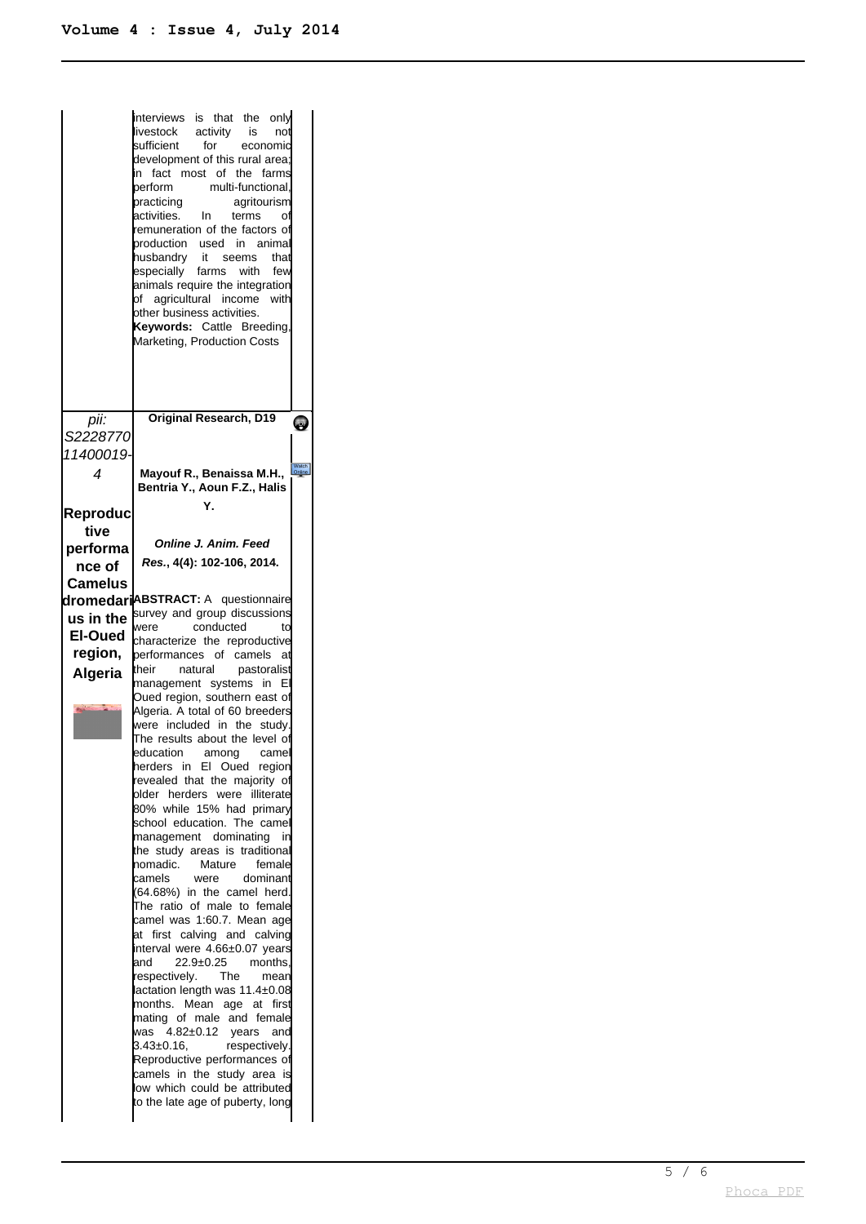|                | interviews<br>is that the<br>only<br>activity<br>livestock<br>is<br>not<br>for<br>sufficient<br>economic<br>development of this rural area;<br>fact<br>most of the<br>farms<br>in<br>multi-functional.<br>berform<br>practicing<br>agritourism<br>activities.<br>In<br>terms<br>Οİ<br>remuneration of the factors of<br>production<br>used<br>animal<br>-in<br>husbandry<br>it seems<br>that<br>especially<br>farms<br>with<br>few<br>animals require the integration<br>agricultural income<br>bf<br>with<br>other business activities.<br>Keywords: Cattle Breeding,<br>Marketing, Production Costs |                 |
|----------------|-------------------------------------------------------------------------------------------------------------------------------------------------------------------------------------------------------------------------------------------------------------------------------------------------------------------------------------------------------------------------------------------------------------------------------------------------------------------------------------------------------------------------------------------------------------------------------------------------------|-----------------|
| pii:           | <b>Original Research, D19</b>                                                                                                                                                                                                                                                                                                                                                                                                                                                                                                                                                                         | 2               |
| S2228770       |                                                                                                                                                                                                                                                                                                                                                                                                                                                                                                                                                                                                       |                 |
| 11400019       |                                                                                                                                                                                                                                                                                                                                                                                                                                                                                                                                                                                                       | Watch<br>Online |
| 4              | Mayouf R., Benaissa M.H.,<br>Bentria Y., Aoun F.Z., Halis                                                                                                                                                                                                                                                                                                                                                                                                                                                                                                                                             |                 |
| Reproduc       | Υ.                                                                                                                                                                                                                                                                                                                                                                                                                                                                                                                                                                                                    |                 |
| tive           |                                                                                                                                                                                                                                                                                                                                                                                                                                                                                                                                                                                                       |                 |
| performa       | Online J. Anim. Feed                                                                                                                                                                                                                                                                                                                                                                                                                                                                                                                                                                                  |                 |
| nce of         | Res., 4(4): 102-106, 2014.                                                                                                                                                                                                                                                                                                                                                                                                                                                                                                                                                                            |                 |
| <b>Camelus</b> | dromedariABSTRACT: A questionnaire                                                                                                                                                                                                                                                                                                                                                                                                                                                                                                                                                                    |                 |
| us in the      | survey and group discussions                                                                                                                                                                                                                                                                                                                                                                                                                                                                                                                                                                          |                 |
| El-Oued        | conducted<br>were<br>to                                                                                                                                                                                                                                                                                                                                                                                                                                                                                                                                                                               |                 |
| region,        | characterize the reproductive<br>performances of<br>camels<br>at                                                                                                                                                                                                                                                                                                                                                                                                                                                                                                                                      |                 |
| <b>Algeria</b> | their<br>natural<br>pastoralist                                                                                                                                                                                                                                                                                                                                                                                                                                                                                                                                                                       |                 |
|                | management systems<br>in                                                                                                                                                                                                                                                                                                                                                                                                                                                                                                                                                                              |                 |
|                | Oued region, southern east of<br>Algeria. A total of 60 breeders                                                                                                                                                                                                                                                                                                                                                                                                                                                                                                                                      |                 |
|                | were included in the<br>study.                                                                                                                                                                                                                                                                                                                                                                                                                                                                                                                                                                        |                 |
|                | The results about the level of                                                                                                                                                                                                                                                                                                                                                                                                                                                                                                                                                                        |                 |
|                | education<br>among<br>camel<br>herders in El Oued region                                                                                                                                                                                                                                                                                                                                                                                                                                                                                                                                              |                 |
|                | revealed that the majority of                                                                                                                                                                                                                                                                                                                                                                                                                                                                                                                                                                         |                 |
|                | blder herders were<br>illiterate<br>80% while 15% had primary                                                                                                                                                                                                                                                                                                                                                                                                                                                                                                                                         |                 |
|                | school education. The camel                                                                                                                                                                                                                                                                                                                                                                                                                                                                                                                                                                           |                 |
|                | management dominating<br>in                                                                                                                                                                                                                                                                                                                                                                                                                                                                                                                                                                           |                 |
|                | the study areas is traditional<br>Mature<br>homadic.<br>female                                                                                                                                                                                                                                                                                                                                                                                                                                                                                                                                        |                 |
|                | camels<br>were<br>dominant                                                                                                                                                                                                                                                                                                                                                                                                                                                                                                                                                                            |                 |
|                | (64.68%) in the camel herd.<br>The ratio of male to female                                                                                                                                                                                                                                                                                                                                                                                                                                                                                                                                            |                 |
|                | camel was 1:60.7. Mean age                                                                                                                                                                                                                                                                                                                                                                                                                                                                                                                                                                            |                 |
|                | at first calving and calving                                                                                                                                                                                                                                                                                                                                                                                                                                                                                                                                                                          |                 |
|                | interval were 4.66±0.07 years<br>and<br>$22.9 \pm 0.25$<br>months.                                                                                                                                                                                                                                                                                                                                                                                                                                                                                                                                    |                 |
|                | respectively.<br>The<br>mean                                                                                                                                                                                                                                                                                                                                                                                                                                                                                                                                                                          |                 |
|                | lactation length was 11.4±0.08<br>months. Mean<br>age at<br>first                                                                                                                                                                                                                                                                                                                                                                                                                                                                                                                                     |                 |
|                | mating of male<br>and female                                                                                                                                                                                                                                                                                                                                                                                                                                                                                                                                                                          |                 |
|                |                                                                                                                                                                                                                                                                                                                                                                                                                                                                                                                                                                                                       |                 |
|                | $4.82\pm0.12$ years<br>was<br>and                                                                                                                                                                                                                                                                                                                                                                                                                                                                                                                                                                     |                 |
|                | 3.43±0.16.<br>respectively.<br>Reproductive performances of                                                                                                                                                                                                                                                                                                                                                                                                                                                                                                                                           |                 |
|                | camels in the study area is                                                                                                                                                                                                                                                                                                                                                                                                                                                                                                                                                                           |                 |
|                | low which could be attributed<br>to the late age of puberty, long                                                                                                                                                                                                                                                                                                                                                                                                                                                                                                                                     |                 |